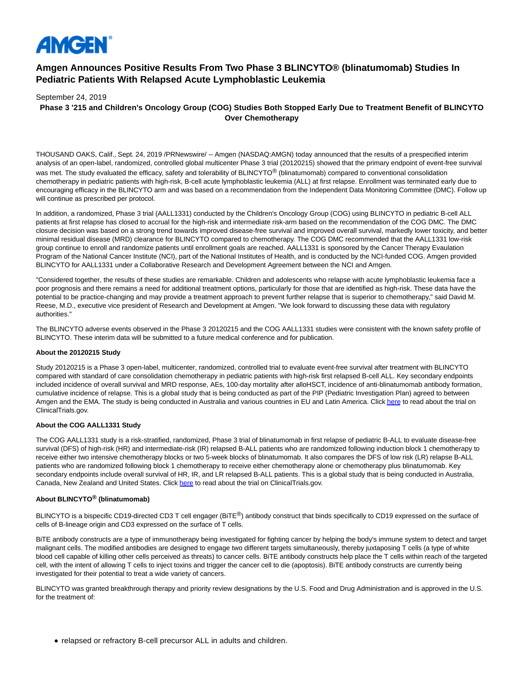

# **Amgen Announces Positive Results From Two Phase 3 BLINCYTO® (blinatumomab) Studies In Pediatric Patients With Relapsed Acute Lymphoblastic Leukemia**

September 24, 2019

# **Phase 3 '215 and Children's Oncology Group (COG) Studies Both Stopped Early Due to Treatment Benefit of BLINCYTO Over Chemotherapy**

THOUSAND OAKS, Calif., Sept. 24, 2019 /PRNewswire/ -- Amgen (NASDAQ:AMGN) today announced that the results of a prespecified interim analysis of an open-label, randomized, controlled global multicenter Phase 3 trial (20120215) showed that the primary endpoint of event-free survival was met. The study evaluated the efficacy, safety and tolerability of BLINCYTO<sup>®</sup> (blinatumomab) compared to conventional consolidation chemotherapy in pediatric patients with high-risk, B-cell acute lymphoblastic leukemia (ALL) at first relapse. Enrollment was terminated early due to encouraging efficacy in the BLINCYTO arm and was based on a recommendation from the Independent Data Monitoring Committee (DMC). Follow up will continue as prescribed per protocol.

In addition, a randomized, Phase 3 trial (AALL1331) conducted by the Children's Oncology Group (COG) using BLINCYTO in pediatric B-cell ALL patients at first relapse has closed to accrual for the high-risk and intermediate risk-arm based on the recommendation of the COG DMC. The DMC closure decision was based on a strong trend towards improved disease-free survival and improved overall survival, markedly lower toxicity, and better minimal residual disease (MRD) clearance for BLINCYTO compared to chemotherapy. The COG DMC recommended that the AALL1331 low-risk group continue to enroll and randomize patients until enrollment goals are reached. AALL1331 is sponsored by the Cancer Therapy Evaulation Program of the National Cancer Institute (NCI), part of the National Institutes of Health, and is conducted by the NCI-funded COG. Amgen provided BLINCYTO for AALL1331 under a Collaborative Research and Development Agreement between the NCI and Amgen.

"Considered together, the results of these studies are remarkable. Children and adolescents who relapse with acute lymphoblastic leukemia face a poor prognosis and there remains a need for additional treatment options, particularly for those that are identified as high-risk. These data have the potential to be practice-changing and may provide a treatment approach to prevent further relapse that is superior to chemotherapy," said David M. Reese, M.D., executive vice president of Research and Development at Amgen. "We look forward to discussing these data with regulatory authorities."

The BLINCYTO adverse events observed in the Phase 3 20120215 and the COG AALL1331 studies were consistent with the known safety profile of BLINCYTO. These interim data will be submitted to a future medical conference and for publication.

#### **About the 20120215 Study**

Study 20120215 is a Phase 3 open-label, multicenter, randomized, controlled trial to evaluate event-free survival after treatment with BLINCYTO compared with standard of care consolidation chemotherapy in pediatric patients with high-risk first relapsed B-cell ALL. Key secondary endpoints included incidence of overall survival and MRD response, AEs, 100-day mortality after alloHSCT, incidence of anti-blinatumomab antibody formation, cumulative incidence of relapse. This is a global study that is being conducted as part of the PIP (Pediatric Investigation Plan) agreed to between Amgen and the EMA. The study is being conducted in Australia and various countries in EU and Latin America. Clic[k here t](https://c212.net/c/link/?t=0&l=en&o=2589997-1&h=4207627791&u=https%3A%2F%2Fclinicaltrials.gov%2Fct2%2Fshow%2FNCT02393859&a=here)o read about the trial on ClinicalTrials.gov.

#### **About the COG AALL1331 Study**

The COG AALL1331 study is a risk-stratified, randomized, Phase 3 trial of blinatumomab in first relapse of pediatric B-ALL to evaluate disease-free survival (DFS) of high-risk (HR) and intermediate-risk (IR) relapsed B-ALL patients who are randomized following induction block 1 chemotherapy to receive either two intensive chemotherapy blocks or two 5-week blocks of blinatumomab. It also compares the DFS of low risk (LR) relapse B-ALL patients who are randomized following block 1 chemotherapy to receive either chemotherapy alone or chemotherapy plus blinatumomab. Key secondary endpoints include overall survival of HR, IR, and LR relapsed B-ALL patients. This is a global study that is being conducted in Australia, Canada, New Zealand and United States. Click [here t](https://c212.net/c/link/?t=0&l=en&o=2589997-1&h=2459056763&u=https%3A%2F%2Fclinicaltrials.gov%2Fct2%2Fshow%2FNCT02101853&a=here)o read about the trial on ClinicalTrials.gov.

# **About BLINCYTO® (blinatumomab)**

BLINCYTO is a bispecific CD19-directed CD3 T cell engager ( $BITE^@$ ) antibody construct that binds specifically to CD19 expressed on the surface of cells of B-lineage origin and CD3 expressed on the surface of T cells.

BiTE antibody constructs are a type of immunotherapy being investigated for fighting cancer by helping the body's immune system to detect and target malignant cells. The modified antibodies are designed to engage two different targets simultaneously, thereby juxtaposing T cells (a type of white blood cell capable of killing other cells perceived as threats) to cancer cells. BiTE antibody constructs help place the T cells within reach of the targeted cell, with the intent of allowing T cells to inject toxins and trigger the cancer cell to die (apoptosis). BiTE antibody constructs are currently being investigated for their potential to treat a wide variety of cancers.

BLINCYTO was granted breakthrough therapy and priority review designations by the U.S. Food and Drug Administration and is approved in the U.S. for the treatment of:

• relapsed or refractory B-cell precursor ALL in adults and children.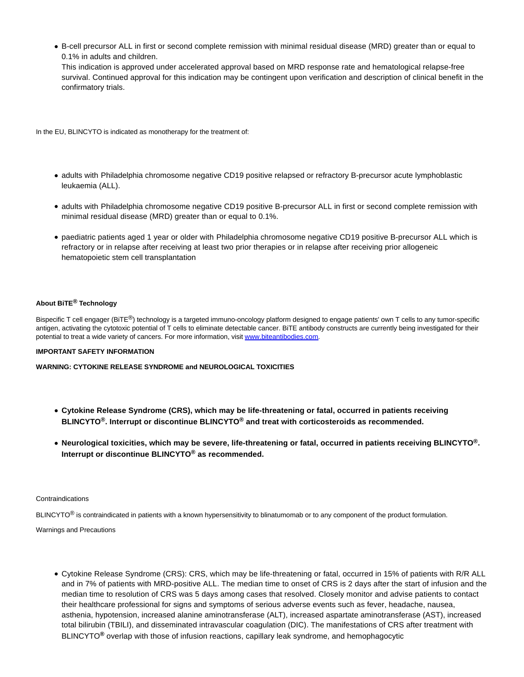B-cell precursor ALL in first or second complete remission with minimal residual disease (MRD) greater than or equal to 0.1% in adults and children.

This indication is approved under accelerated approval based on MRD response rate and hematological relapse-free survival. Continued approval for this indication may be contingent upon verification and description of clinical benefit in the confirmatory trials.

In the EU, BLINCYTO is indicated as monotherapy for the treatment of:

- adults with Philadelphia chromosome negative CD19 positive relapsed or refractory B-precursor acute lymphoblastic leukaemia (ALL).
- adults with Philadelphia chromosome negative CD19 positive B-precursor ALL in first or second complete remission with minimal residual disease (MRD) greater than or equal to 0.1%.
- paediatric patients aged 1 year or older with Philadelphia chromosome negative CD19 positive B-precursor ALL which is refractory or in relapse after receiving at least two prior therapies or in relapse after receiving prior allogeneic hematopoietic stem cell transplantation

# **About BiTE® Technology**

Bispecific T cell engager (BiTE®) technology is a targeted immuno-oncology platform designed to engage patients' own T cells to any tumor-specific antigen, activating the cytotoxic potential of T cells to eliminate detectable cancer. BiTE antibody constructs are currently being investigated for their potential to treat a wide variety of cancers. For more information, visi[t www.biteantibodies.com.](http://www.biteantibodies.com/)

# **IMPORTANT SAFETY INFORMATION**

**WARNING: CYTOKINE RELEASE SYNDROME and NEUROLOGICAL TOXICITIES**

- **Cytokine Release Syndrome (CRS), which may be life-threatening or fatal, occurred in patients receiving BLINCYTO®. Interrupt or discontinue BLINCYTO® and treat with corticosteroids as recommended.**
- **Neurological toxicities, which may be severe, life-threatening or fatal, occurred in patients receiving BLINCYTO®. Interrupt or discontinue BLINCYTO® as recommended.**

#### Contraindications

 $BLINCYTO<sup>®</sup>$  is contraindicated in patients with a known hypersensitivity to blinatumomab or to any component of the product formulation.

#### Warnings and Precautions

Cytokine Release Syndrome (CRS): CRS, which may be life-threatening or fatal, occurred in 15% of patients with R/R ALL and in 7% of patients with MRD-positive ALL. The median time to onset of CRS is 2 days after the start of infusion and the median time to resolution of CRS was 5 days among cases that resolved. Closely monitor and advise patients to contact their healthcare professional for signs and symptoms of serious adverse events such as fever, headache, nausea, asthenia, hypotension, increased alanine aminotransferase (ALT), increased aspartate aminotransferase (AST), increased total bilirubin (TBILI), and disseminated intravascular coagulation (DIC). The manifestations of CRS after treatment with BLINCYTO**®** overlap with those of infusion reactions, capillary leak syndrome, and hemophagocytic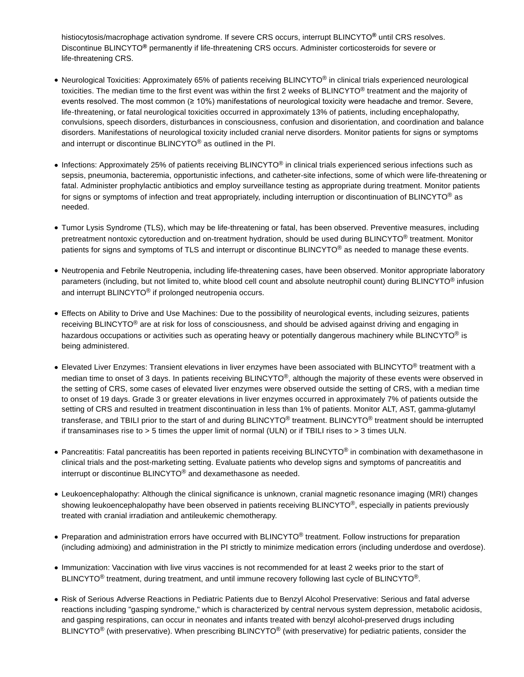histiocytosis/macrophage activation syndrome. If severe CRS occurs, interrupt BLINCYTO**®** until CRS resolves. Discontinue BLINCYTO**®** permanently if life-threatening CRS occurs. Administer corticosteroids for severe or life-threatening CRS.

- Neurological Toxicities: Approximately 65% of patients receiving BLINCYTO® in clinical trials experienced neurological toxicities. The median time to the first event was within the first 2 weeks of BLINCYTO<sup>®</sup> treatment and the majority of events resolved. The most common (≥ 10%) manifestations of neurological toxicity were headache and tremor. Severe, life-threatening, or fatal neurological toxicities occurred in approximately 13% of patients, including encephalopathy, convulsions, speech disorders, disturbances in consciousness, confusion and disorientation, and coordination and balance disorders. Manifestations of neurological toxicity included cranial nerve disorders. Monitor patients for signs or symptoms and interrupt or discontinue BLINCYTO® as outlined in the PI.
- Infections: Approximately 25% of patients receiving BLINCYTO<sup>®</sup> in clinical trials experienced serious infections such as sepsis, pneumonia, bacteremia, opportunistic infections, and catheter-site infections, some of which were life-threatening or fatal. Administer prophylactic antibiotics and employ surveillance testing as appropriate during treatment. Monitor patients for signs or symptoms of infection and treat appropriately, including interruption or discontinuation of BLINCYTO<sup>®</sup> as needed.
- Tumor Lysis Syndrome (TLS), which may be life-threatening or fatal, has been observed. Preventive measures, including pretreatment nontoxic cytoreduction and on-treatment hydration, should be used during BLINCYTO<sup>®</sup> treatment. Monitor patients for signs and symptoms of TLS and interrupt or discontinue BLINCYTO® as needed to manage these events.
- Neutropenia and Febrile Neutropenia, including life-threatening cases, have been observed. Monitor appropriate laboratory parameters (including, but not limited to, white blood cell count and absolute neutrophil count) during BLINCYTO® infusion and interrupt BLINCYTO<sup>®</sup> if prolonged neutropenia occurs.
- Effects on Ability to Drive and Use Machines: Due to the possibility of neurological events, including seizures, patients receiving BLINCYTO<sup>®</sup> are at risk for loss of consciousness, and should be advised against driving and engaging in hazardous occupations or activities such as operating heavy or potentially dangerous machinery while BLINCYTO<sup>®</sup> is being administered.
- Elevated Liver Enzymes: Transient elevations in liver enzymes have been associated with BLINCYTO® treatment with a median time to onset of 3 days. In patients receiving BLINCYTO<sup>®</sup>, although the majority of these events were observed in the setting of CRS, some cases of elevated liver enzymes were observed outside the setting of CRS, with a median time to onset of 19 days. Grade 3 or greater elevations in liver enzymes occurred in approximately 7% of patients outside the setting of CRS and resulted in treatment discontinuation in less than 1% of patients. Monitor ALT, AST, gamma-glutamyl transferase, and TBILI prior to the start of and during BLINCYTO® treatment. BLINCYTO® treatment should be interrupted if transaminases rise to > 5 times the upper limit of normal (ULN) or if TBILI rises to > 3 times ULN.
- Pancreatitis: Fatal pancreatitis has been reported in patients receiving BLINCYTO<sup>®</sup> in combination with dexamethasone in clinical trials and the post-marketing setting. Evaluate patients who develop signs and symptoms of pancreatitis and interrupt or discontinue BLINCYTO® and dexamethasone as needed.
- Leukoencephalopathy: Although the clinical significance is unknown, cranial magnetic resonance imaging (MRI) changes showing leukoencephalopathy have been observed in patients receiving BLINCYTO<sup>®</sup>, especially in patients previously treated with cranial irradiation and antileukemic chemotherapy.
- Preparation and administration errors have occurred with BLINCYTO<sup>®</sup> treatment. Follow instructions for preparation (including admixing) and administration in the PI strictly to minimize medication errors (including underdose and overdose).
- Immunization: Vaccination with live virus vaccines is not recommended for at least 2 weeks prior to the start of BLINCYTO<sup>®</sup> treatment, during treatment, and until immune recovery following last cycle of BLINCYTO<sup>®</sup>.
- Risk of Serious Adverse Reactions in Pediatric Patients due to Benzyl Alcohol Preservative: Serious and fatal adverse reactions including "gasping syndrome," which is characterized by central nervous system depression, metabolic acidosis, and gasping respirations, can occur in neonates and infants treated with benzyl alcohol-preserved drugs including BLINCYTO<sup>®</sup> (with preservative). When prescribing BLINCYTO<sup>®</sup> (with preservative) for pediatric patients, consider the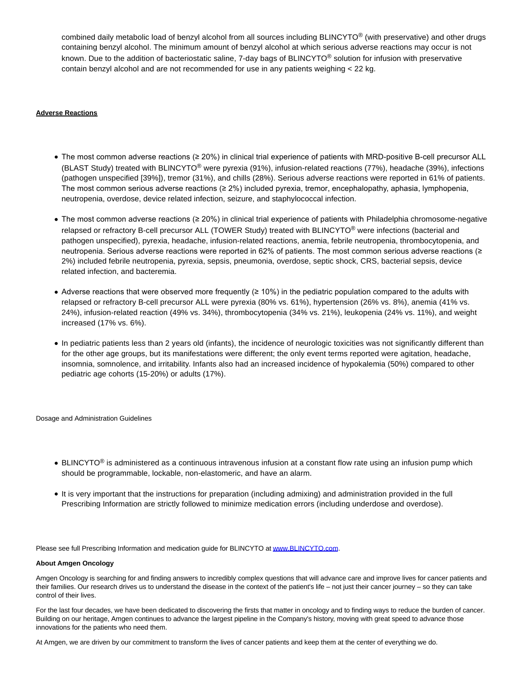combined daily metabolic load of benzyl alcohol from all sources including BLINCYTO® (with preservative) and other drugs containing benzyl alcohol. The minimum amount of benzyl alcohol at which serious adverse reactions may occur is not known. Due to the addition of bacteriostatic saline, 7-day bags of BLINCYTO<sup>®</sup> solution for infusion with preservative contain benzyl alcohol and are not recommended for use in any patients weighing < 22 kg.

## **Adverse Reactions**

- The most common adverse reactions (≥ 20%) in clinical trial experience of patients with MRD-positive B-cell precursor ALL (BLAST Study) treated with BLINCYTO® were pyrexia (91%), infusion-related reactions (77%), headache (39%), infections (pathogen unspecified [39%]), tremor (31%), and chills (28%). Serious adverse reactions were reported in 61% of patients. The most common serious adverse reactions (≥ 2%) included pyrexia, tremor, encephalopathy, aphasia, lymphopenia, neutropenia, overdose, device related infection, seizure, and staphylococcal infection.
- The most common adverse reactions (≥ 20%) in clinical trial experience of patients with Philadelphia chromosome-negative relapsed or refractory B-cell precursor ALL (TOWER Study) treated with BLINCYTO<sup>®</sup> were infections (bacterial and pathogen unspecified), pyrexia, headache, infusion-related reactions, anemia, febrile neutropenia, thrombocytopenia, and neutropenia. Serious adverse reactions were reported in 62% of patients. The most common serious adverse reactions (≥ 2%) included febrile neutropenia, pyrexia, sepsis, pneumonia, overdose, septic shock, CRS, bacterial sepsis, device related infection, and bacteremia.
- Adverse reactions that were observed more frequently (≥ 10%) in the pediatric population compared to the adults with relapsed or refractory B-cell precursor ALL were pyrexia (80% vs. 61%), hypertension (26% vs. 8%), anemia (41% vs. 24%), infusion-related reaction (49% vs. 34%), thrombocytopenia (34% vs. 21%), leukopenia (24% vs. 11%), and weight increased (17% vs. 6%).
- In pediatric patients less than 2 years old (infants), the incidence of neurologic toxicities was not significantly different than for the other age groups, but its manifestations were different; the only event terms reported were agitation, headache, insomnia, somnolence, and irritability. Infants also had an increased incidence of hypokalemia (50%) compared to other pediatric age cohorts (15-20%) or adults (17%).

Dosage and Administration Guidelines

- BLINCYTO<sup>®</sup> is administered as a continuous intravenous infusion at a constant flow rate using an infusion pump which should be programmable, lockable, non-elastomeric, and have an alarm.
- It is very important that the instructions for preparation (including admixing) and administration provided in the full Prescribing Information are strictly followed to minimize medication errors (including underdose and overdose).

Please see full Prescribing Information and medication guide for BLINCYTO a[t www.BLINCYTO.com.](https://c212.net/c/link/?t=0&l=en&o=2589997-1&h=1942244895&u=http%3A%2F%2Fwww.blincyto.com%2F&a=www.BLINCYTO.com)

#### **About Amgen Oncology**

Amgen Oncology is searching for and finding answers to incredibly complex questions that will advance care and improve lives for cancer patients and their families. Our research drives us to understand the disease in the context of the patient's life – not just their cancer journey – so they can take control of their lives.

For the last four decades, we have been dedicated to discovering the firsts that matter in oncology and to finding ways to reduce the burden of cancer. Building on our heritage, Amgen continues to advance the largest pipeline in the Company's history, moving with great speed to advance those innovations for the patients who need them.

At Amgen, we are driven by our commitment to transform the lives of cancer patients and keep them at the center of everything we do.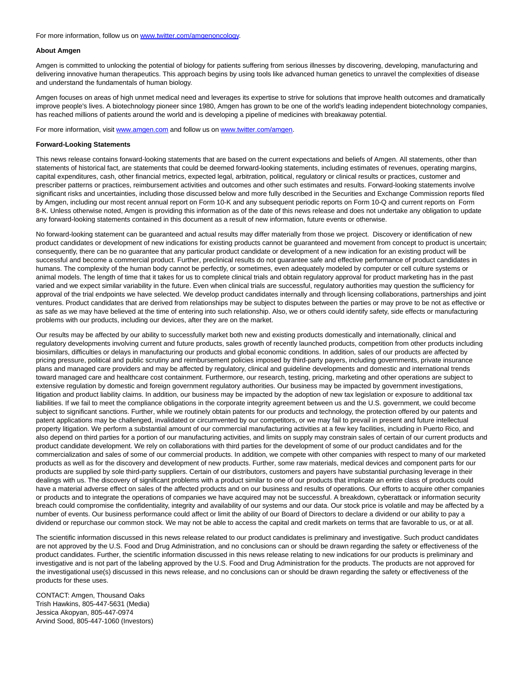For more information, follow us on [www.twitter.com/amgenoncology.](https://c212.net/c/link/?t=0&l=en&o=2589997-1&h=2190174904&u=http%3A%2F%2Fwww.twitter.com%2Famgenoncology&a=www.twitter.com%2Famgenoncology)

#### **About Amgen**

Amgen is committed to unlocking the potential of biology for patients suffering from serious illnesses by discovering, developing, manufacturing and delivering innovative human therapeutics. This approach begins by using tools like advanced human genetics to unravel the complexities of disease and understand the fundamentals of human biology.

Amgen focuses on areas of high unmet medical need and leverages its expertise to strive for solutions that improve health outcomes and dramatically improve people's lives. A biotechnology pioneer since 1980, Amgen has grown to be one of the world's leading independent biotechnology companies, has reached millions of patients around the world and is developing a pipeline of medicines with breakaway potential.

For more information, visit [www.amgen.com a](https://c212.net/c/link/?t=0&l=en&o=2589997-1&h=1390723363&u=http%3A%2F%2Fwww.amgen.com%2F&a=www.amgen.com)nd follow us on [www.twitter.com/amgen.](https://c212.net/c/link/?t=0&l=en&o=2589997-1&h=136569372&u=http%3A%2F%2Fwww.twitter.com%2Famgen&a=www.twitter.com%2Famgen)

#### **Forward-Looking Statements**

This news release contains forward-looking statements that are based on the current expectations and beliefs of Amgen. All statements, other than statements of historical fact, are statements that could be deemed forward-looking statements, including estimates of revenues, operating margins, capital expenditures, cash, other financial metrics, expected legal, arbitration, political, regulatory or clinical results or practices, customer and prescriber patterns or practices, reimbursement activities and outcomes and other such estimates and results. Forward-looking statements involve significant risks and uncertainties, including those discussed below and more fully described in the Securities and Exchange Commission reports filed by Amgen, including our most recent annual report on Form 10-K and any subsequent periodic reports on Form 10-Q and current reports on Form 8-K. Unless otherwise noted, Amgen is providing this information as of the date of this news release and does not undertake any obligation to update any forward-looking statements contained in this document as a result of new information, future events or otherwise.

No forward-looking statement can be guaranteed and actual results may differ materially from those we project. Discovery or identification of new product candidates or development of new indications for existing products cannot be guaranteed and movement from concept to product is uncertain; consequently, there can be no guarantee that any particular product candidate or development of a new indication for an existing product will be successful and become a commercial product. Further, preclinical results do not quarantee safe and effective performance of product candidates in humans. The complexity of the human body cannot be perfectly, or sometimes, even adequately modeled by computer or cell culture systems or animal models. The length of time that it takes for us to complete clinical trials and obtain regulatory approval for product marketing has in the past varied and we expect similar variability in the future. Even when clinical trials are successful, regulatory authorities may question the sufficiency for approval of the trial endpoints we have selected. We develop product candidates internally and through licensing collaborations, partnerships and joint ventures. Product candidates that are derived from relationships may be subject to disputes between the parties or may prove to be not as effective or as safe as we may have believed at the time of entering into such relationship. Also, we or others could identify safety, side effects or manufacturing problems with our products, including our devices, after they are on the market.

Our results may be affected by our ability to successfully market both new and existing products domestically and internationally, clinical and regulatory developments involving current and future products, sales growth of recently launched products, competition from other products including biosimilars, difficulties or delays in manufacturing our products and global economic conditions. In addition, sales of our products are affected by pricing pressure, political and public scrutiny and reimbursement policies imposed by third-party payers, including governments, private insurance plans and managed care providers and may be affected by regulatory, clinical and guideline developments and domestic and international trends toward managed care and healthcare cost containment. Furthermore, our research, testing, pricing, marketing and other operations are subject to extensive regulation by domestic and foreign government regulatory authorities. Our business may be impacted by government investigations, litigation and product liability claims. In addition, our business may be impacted by the adoption of new tax legislation or exposure to additional tax liabilities. If we fail to meet the compliance obligations in the corporate integrity agreement between us and the U.S. government, we could become subject to significant sanctions. Further, while we routinely obtain patents for our products and technology, the protection offered by our patents and patent applications may be challenged, invalidated or circumvented by our competitors, or we may fail to prevail in present and future intellectual property litigation. We perform a substantial amount of our commercial manufacturing activities at a few key facilities, including in Puerto Rico, and also depend on third parties for a portion of our manufacturing activities, and limits on supply may constrain sales of certain of our current products and product candidate development. We rely on collaborations with third parties for the development of some of our product candidates and for the commercialization and sales of some of our commercial products. In addition, we compete with other companies with respect to many of our marketed products as well as for the discovery and development of new products. Further, some raw materials, medical devices and component parts for our products are supplied by sole third-party suppliers. Certain of our distributors, customers and payers have substantial purchasing leverage in their dealings with us. The discovery of significant problems with a product similar to one of our products that implicate an entire class of products could have a material adverse effect on sales of the affected products and on our business and results of operations. Our efforts to acquire other companies or products and to integrate the operations of companies we have acquired may not be successful. A breakdown, cyberattack or information security breach could compromise the confidentiality, integrity and availability of our systems and our data. Our stock price is volatile and may be affected by a number of events. Our business performance could affect or limit the ability of our Board of Directors to declare a dividend or our ability to pay a dividend or repurchase our common stock. We may not be able to access the capital and credit markets on terms that are favorable to us, or at all.

The scientific information discussed in this news release related to our product candidates is preliminary and investigative. Such product candidates are not approved by the U.S. Food and Drug Administration, and no conclusions can or should be drawn regarding the safety or effectiveness of the product candidates. Further, the scientific information discussed in this news release relating to new indications for our products is preliminary and investigative and is not part of the labeling approved by the U.S. Food and Drug Administration for the products. The products are not approved for the investigational use(s) discussed in this news release, and no conclusions can or should be drawn regarding the safety or effectiveness of the products for these uses.

CONTACT: Amgen, Thousand Oaks Trish Hawkins, 805-447-5631 (Media) Jessica Akopyan, 805-447-0974 Arvind Sood, 805-447-1060 (Investors)